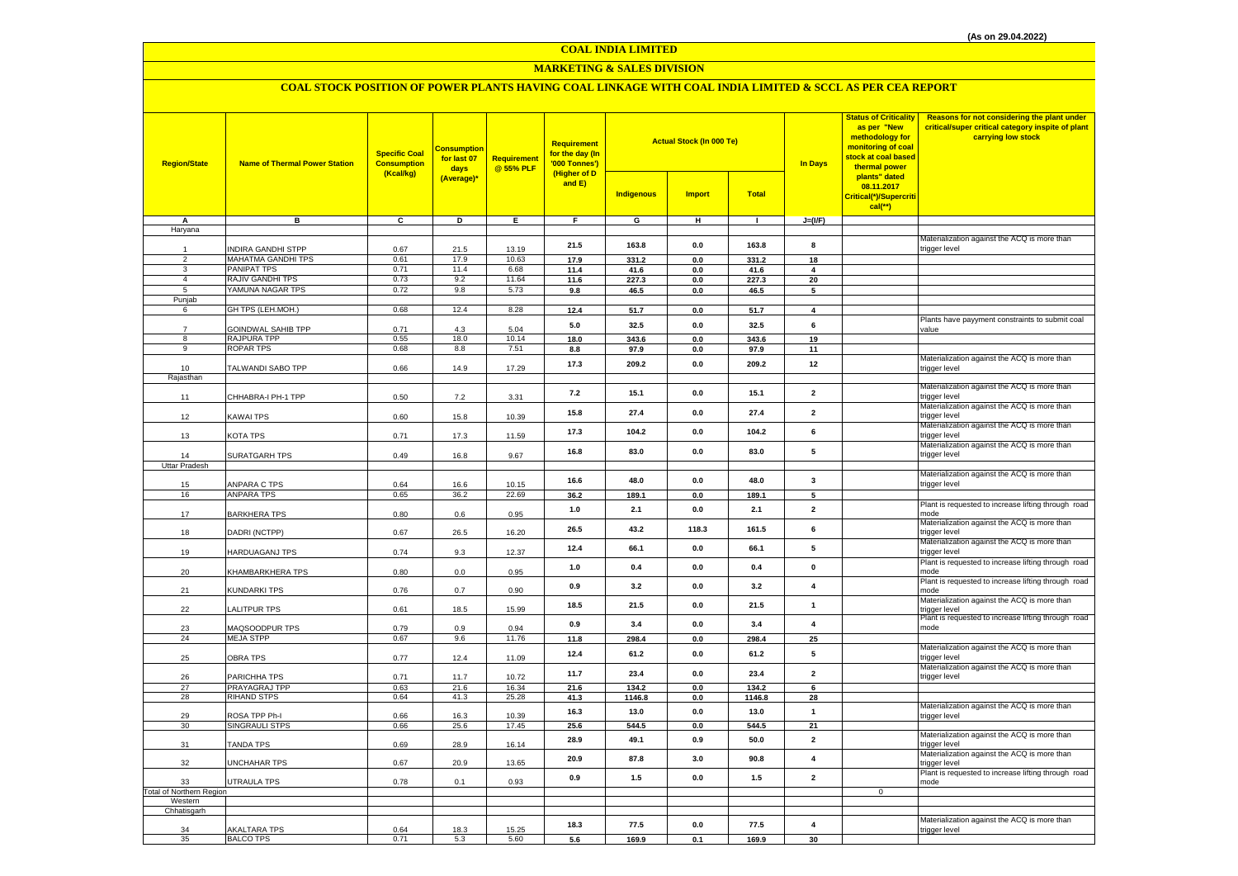**COAL INDIA LIMITED**

#### **MARKETING & SALES DIVISION**

# **COAL STOCK POSITION OF POWER PLANTS HAVING COAL LINKAGE WITH COAL INDIA LIMITED & SCCL AS PER CEA REPORT**

| <b>Region/State</b>             | <b>Name of Thermal Power Station</b> | <b>Specific Coal</b><br><b>Consumption</b><br>(Kcal/kg) | <b>Consumption</b><br>for last 07<br>days<br>(Average)* | <b>Requirement</b><br>@ 55% PLF | <b>Requirement</b><br>for the day (In<br>'000 Tonnes')<br>(Higher of D<br>and E) |                   | <b>Actual Stock (In 000 Te)</b> |              | <b>In Days</b>          | <b>Status of Criticality</b><br>as per "New<br>methodology for<br>monitoring of coal<br>stock at coal based<br>thermal power<br>plants" dated | Reasons for not considering the plant under<br>critical/super critical category inspite of plant<br>carrying low stock |
|---------------------------------|--------------------------------------|---------------------------------------------------------|---------------------------------------------------------|---------------------------------|----------------------------------------------------------------------------------|-------------------|---------------------------------|--------------|-------------------------|-----------------------------------------------------------------------------------------------------------------------------------------------|------------------------------------------------------------------------------------------------------------------------|
|                                 |                                      |                                                         |                                                         |                                 |                                                                                  | <b>Indigenous</b> | <b>Import</b>                   | <b>Total</b> |                         | 08.11.2017<br>Critical(*)/Supercriti<br>$cal$ (**)                                                                                            |                                                                                                                        |
| Α                               | в                                    | c                                                       | D                                                       | E                               | F.                                                                               | G                 | н                               | $\mathbf{I}$ | $J=(VF)$                |                                                                                                                                               |                                                                                                                        |
| Haryana                         |                                      |                                                         |                                                         |                                 |                                                                                  |                   |                                 |              |                         |                                                                                                                                               | Materialization against the ACQ is more than                                                                           |
|                                 | INDIRA GANDHI STPP                   | 0.67                                                    | 21.5                                                    | 13.19                           | 21.5                                                                             | 163.8             | $\mathbf{0.0}$                  | 163.8        | 8                       |                                                                                                                                               | trigger level                                                                                                          |
| $\overline{2}$                  | <b>MAHATMA GANDHI TPS</b>            | 0.61                                                    | 17.9                                                    | 10.63                           | 17.9                                                                             | 331.2             | 0.0                             | 331.2        | 18                      |                                                                                                                                               |                                                                                                                        |
| $_{\rm 3}$                      | PANIPAT TPS                          | 0.71                                                    | 11.4                                                    | 6.68                            | 11.4                                                                             | 41.6              | 0.0                             | 41.6         | $\overline{\mathbf{4}}$ |                                                                                                                                               |                                                                                                                        |
| $\overline{4}$                  | RAJIV GANDHI TPS                     | 0.73                                                    | 9.2                                                     | 11.64                           | 11.6                                                                             | 227.3             | 0.0                             | 227.3        | 20                      |                                                                                                                                               |                                                                                                                        |
| $\overline{5}$                  | YAMUNA NAGAR TPS                     | 0.72                                                    | 9.8                                                     | 5.73                            | 9.8                                                                              | 46.5              | 0.0                             | 46.5         | 5                       |                                                                                                                                               |                                                                                                                        |
| Punjab<br>6                     | GH TPS (LEH.MOH.)                    | 0.68                                                    | 12.4                                                    | 8.28                            | 12.4                                                                             | 51.7              | 0.0                             | 51.7         | $\overline{\mathbf{4}}$ |                                                                                                                                               |                                                                                                                        |
|                                 |                                      |                                                         |                                                         |                                 |                                                                                  |                   |                                 |              |                         |                                                                                                                                               | Plants have payyment constraints to submit coal                                                                        |
| $\overline{7}$                  | <b>GOINDWAL SAHIB TPP</b>            | 0.71                                                    | 4.3                                                     | 5.04                            | 5.0                                                                              | 32.5              | 0.0                             | 32.5         | 6                       |                                                                                                                                               | value                                                                                                                  |
| 8                               | <b>RAJPURA TPP</b>                   | 0.55                                                    | 18.0                                                    | 10.14                           | 18.0                                                                             | 343.6             | $0.0\,$                         | 343.6        | 19                      |                                                                                                                                               |                                                                                                                        |
| 9                               | <b>ROPAR TPS</b>                     | 0.68                                                    | 8.8                                                     | 7.51                            | 8.8                                                                              | 97.9              | 0.0                             | 97.9         | 11                      |                                                                                                                                               |                                                                                                                        |
| 10                              | TALWANDI SABO TPP                    | 0.66                                                    | 14.9                                                    | 17.29                           | 17.3                                                                             | 209.2             | 0.0                             | 209.2        | 12                      |                                                                                                                                               | Materialization against the ACQ is more than<br>trigger level                                                          |
| Rajasthan                       |                                      |                                                         |                                                         |                                 |                                                                                  |                   |                                 |              |                         |                                                                                                                                               |                                                                                                                        |
|                                 |                                      |                                                         |                                                         |                                 | 7.2                                                                              | 15.1              | 0.0                             | 15.1         | $\overline{2}$          |                                                                                                                                               | Materialization against the ACQ is more than                                                                           |
| 11                              | CHHABRA-I PH-1 TPP                   | 0.50                                                    | $7.2\,$                                                 | 3.31                            |                                                                                  |                   |                                 |              |                         |                                                                                                                                               | rigger level                                                                                                           |
| 12                              | KAWAI TPS                            | 0.60                                                    | 15.8                                                    | 10.39                           | 15.8                                                                             | 27.4              | 0.0                             | 27.4         | $\overline{\mathbf{2}}$ |                                                                                                                                               | Materialization against the ACQ is more than<br>rigger level                                                           |
|                                 |                                      |                                                         |                                                         |                                 |                                                                                  |                   |                                 |              |                         |                                                                                                                                               | Materialization against the ACQ is more than                                                                           |
| 13                              | <b>KOTA TPS</b>                      | 0.71                                                    | 17.3                                                    | 11.59                           | 17.3                                                                             | 104.2             | 0.0                             | 104.2        | 6                       |                                                                                                                                               | rigger level                                                                                                           |
|                                 |                                      |                                                         |                                                         |                                 | 16.8                                                                             | 83.0              | 0.0                             | 83.0         | 5                       |                                                                                                                                               | Materialization against the ACQ is more than                                                                           |
| 14                              | SURATGARH TPS                        | 0.49                                                    | 16.8                                                    | 9.67                            |                                                                                  |                   |                                 |              |                         |                                                                                                                                               | rigger level                                                                                                           |
| Uttar Pradesh                   |                                      |                                                         |                                                         |                                 |                                                                                  |                   |                                 |              |                         |                                                                                                                                               | Materialization against the ACQ is more than                                                                           |
| 15                              | ANPARA C TPS                         | 0.64                                                    | 16.6                                                    | 10.15                           | 16.6                                                                             | 48.0              | 0.0                             | 48.0         | $\overline{\mathbf{3}}$ |                                                                                                                                               | rigger level                                                                                                           |
| 16                              | ANPARA TPS                           | 0.65                                                    | 36.2                                                    | 22.69                           | 36.2                                                                             | 189.1             | 0.0                             | 189.1        | 5                       |                                                                                                                                               |                                                                                                                        |
|                                 |                                      |                                                         |                                                         |                                 | $1.0$                                                                            | 2.1               | 0.0                             | 2.1          | $\overline{\mathbf{2}}$ |                                                                                                                                               | Plant is requested to increase lifting through road                                                                    |
| 17                              | <b>BARKHERA TPS</b>                  | 0.80                                                    | 0.6                                                     | 0.95                            |                                                                                  |                   |                                 |              |                         |                                                                                                                                               | node<br>Materialization against the ACQ is more than                                                                   |
| 18                              | DADRI (NCTPP)                        | 0.67                                                    | 26.5                                                    | 16.20                           | 26.5                                                                             | 43.2              | 118.3                           | 161.5        | 6                       |                                                                                                                                               | rigger level                                                                                                           |
|                                 |                                      |                                                         |                                                         |                                 | 12.4                                                                             | 66.1              | 0.0                             | 66.1         | 5                       |                                                                                                                                               | Materialization against the ACQ is more than                                                                           |
| 19                              | HARDUAGANJ TPS                       | 0.74                                                    | 9.3                                                     | 12.37                           |                                                                                  |                   |                                 |              |                         |                                                                                                                                               | rigger level                                                                                                           |
| 20                              | KHAMBARKHERA TPS                     | 0.80                                                    | 0.0                                                     | 0.95                            | 1.0                                                                              | 0.4               | 0.0                             | 0.4          | $\mathbf 0$             |                                                                                                                                               | Plant is requested to increase lifting through road<br>mode                                                            |
|                                 |                                      |                                                         |                                                         |                                 |                                                                                  |                   |                                 |              |                         |                                                                                                                                               | Plant is requested to increase lifting through road                                                                    |
| 21                              | KUNDARKI TPS                         | 0.76                                                    | 0.7                                                     | 0.90                            | 0.9                                                                              | 3.2               | 0.0                             | 3.2          | $\overline{\mathbf{4}}$ |                                                                                                                                               | mode                                                                                                                   |
|                                 |                                      |                                                         |                                                         |                                 | 18.5                                                                             | 21.5              | 0.0                             | 21.5         | $\mathbf{1}$            |                                                                                                                                               | Materialization against the ACQ is more than                                                                           |
| 22                              | <b>ALITPUR TPS</b>                   | 0.61                                                    | 18.5                                                    | 15.99                           |                                                                                  |                   |                                 |              |                         |                                                                                                                                               | trigger level<br>Plant is requested to increase lifting through road                                                   |
| 23                              | <b>MAQSOODPUR TPS</b>                | 0.79                                                    | 0.9                                                     | 0.94                            | 0.9                                                                              | 3.4               | 0.0                             | 3.4          | $\overline{\mathbf{4}}$ |                                                                                                                                               | mode                                                                                                                   |
| 24                              | <b>MEJA STPP</b>                     | 0.67                                                    | 9.6                                                     | 11.76                           | 11.8                                                                             | 298.4             | 0.0                             | 298.4        | 25                      |                                                                                                                                               |                                                                                                                        |
|                                 |                                      |                                                         |                                                         |                                 | 12.4                                                                             | 61.2              | 0.0                             | 61.2         | 5                       |                                                                                                                                               | Materialization against the ACQ is more than                                                                           |
| 25                              | OBRA TPS                             | 0.77                                                    | 12.4                                                    | 11.09                           |                                                                                  |                   |                                 |              |                         |                                                                                                                                               | rigger level<br>Materialization against the ACQ is more than                                                           |
| 26                              | PARICHHA TPS                         | 0.71                                                    | 11.7                                                    | 10.72                           | 11.7                                                                             | 23.4              | 0.0                             | 23.4         | $\overline{2}$          |                                                                                                                                               | rigger level                                                                                                           |
| 27                              | <b>PRAYAGRAJ TPP</b>                 | 0.63                                                    | 21.6                                                    | 16.34                           | 21.6                                                                             | 134.2             | 0.0                             | 134.2        | 6                       |                                                                                                                                               |                                                                                                                        |
| 28                              | <b>RIHAND STPS</b>                   | 0.64                                                    | 41.3                                                    | 25.28                           | 41.3                                                                             | 1146.8            | 0.0                             | 1146.8       | 28                      |                                                                                                                                               |                                                                                                                        |
| 29                              | ROSA TPP Ph-I                        |                                                         |                                                         | 10.39                           | 16.3                                                                             | 13.0              | 0.0                             | 13.0         | $\mathbf{1}$            |                                                                                                                                               | Materialization against the ACQ is more than                                                                           |
| 30                              | SINGRAULI STPS                       | 0.66<br>0.66                                            | 16.3<br>25.6                                            | 17.45                           | 25.6                                                                             | 544.5             | 0.0                             | 544.5        | 21                      |                                                                                                                                               | trigger level                                                                                                          |
|                                 |                                      |                                                         |                                                         |                                 |                                                                                  |                   |                                 |              |                         |                                                                                                                                               | Materialization against the ACQ is more than                                                                           |
| 31                              | <b>TANDA TPS</b>                     | 0.69                                                    | 28.9                                                    | 16.14                           | 28.9                                                                             | 49.1              | 0.9                             | 50.0         | $\overline{\mathbf{2}}$ |                                                                                                                                               | rigger level                                                                                                           |
|                                 |                                      |                                                         |                                                         |                                 | 20.9                                                                             | 87.8              | 3.0                             | 90.8         | 4                       |                                                                                                                                               | Materialization against the ACQ is more than                                                                           |
| 32                              | UNCHAHAR TPS                         | 0.67                                                    | 20.9                                                    | 13.65                           |                                                                                  |                   |                                 |              |                         |                                                                                                                                               | trigger level<br>Plant is requested to increase lifting through road                                                   |
| 33                              | <b>UTRAULA TPS</b>                   | 0.78                                                    | 0.1                                                     | 0.93                            | 0.9                                                                              | 1.5               | 0.0                             | 1.5          | $\overline{2}$          |                                                                                                                                               | mode                                                                                                                   |
| <b>Total of Northern Region</b> |                                      |                                                         |                                                         |                                 |                                                                                  |                   |                                 |              |                         | $\mathbf 0$                                                                                                                                   |                                                                                                                        |
| Western<br>Chhatisgarh          |                                      |                                                         |                                                         |                                 |                                                                                  |                   |                                 |              |                         |                                                                                                                                               |                                                                                                                        |
|                                 |                                      |                                                         |                                                         |                                 |                                                                                  |                   |                                 |              |                         |                                                                                                                                               | Materialization against the ACQ is more than                                                                           |
| 34                              | <b>AKALTARA TPS</b>                  | 0.64                                                    | 18.3                                                    | 15.25                           | 18.3                                                                             | 77.5              | 0.0                             | 77.5         | 4                       |                                                                                                                                               | trigger level                                                                                                          |
| 35                              | <b>BALCO TPS</b>                     | 0.71                                                    | 5.3                                                     | 5.60                            | 5.6                                                                              | 169.9             | 0.1                             | 169.9        | 30                      |                                                                                                                                               |                                                                                                                        |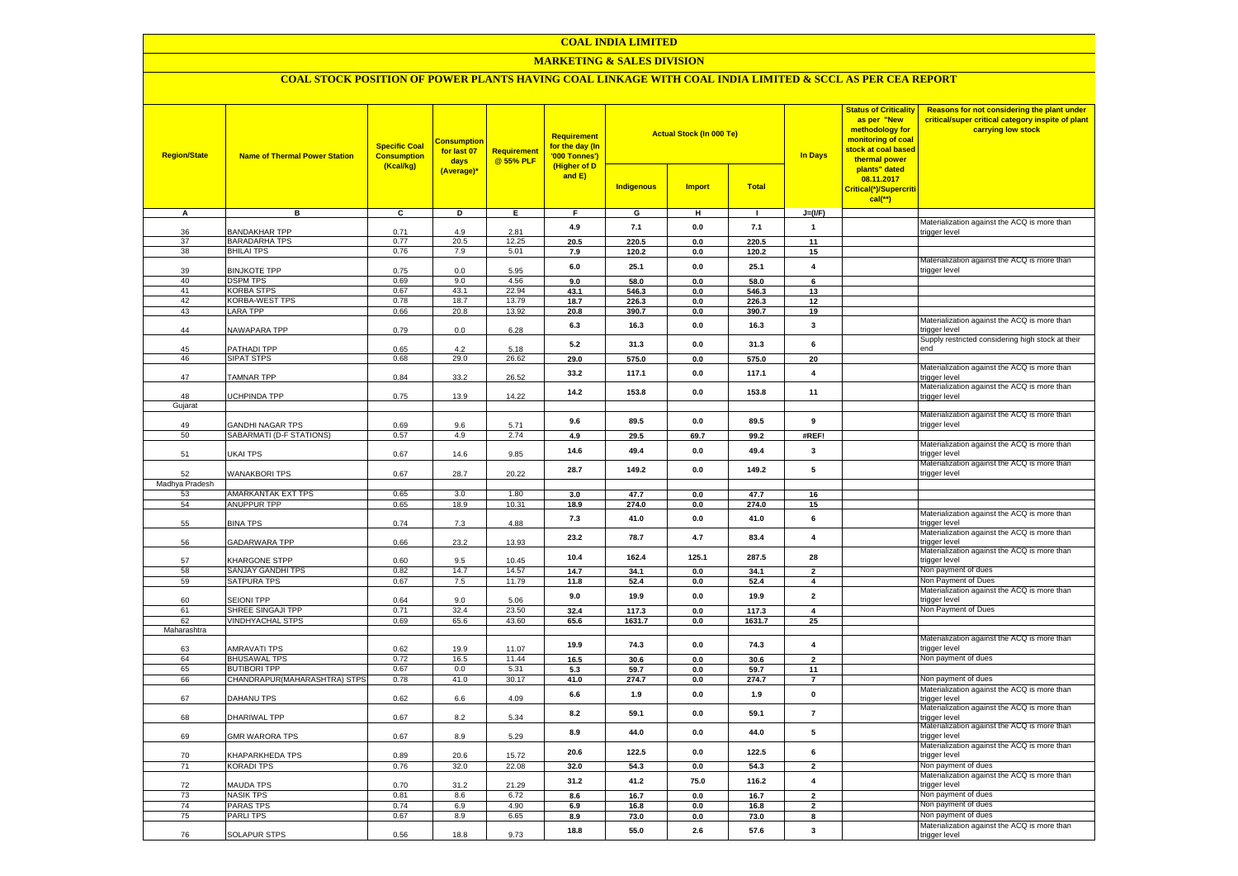#### **COAL INDIA LIMITED**

# **MARKETING & SALES DIVISION**

# **COAL STOCK POSITION OF POWER PLANTS HAVING COAL LINKAGE WITH COAL INDIA LIMITED & SCCL AS PER CEA REPORT**

| <b>Region/State</b> | <b>Name of Thermal Power Station</b>  | <b>Specific Coal</b><br><b>Consumption</b><br>(Kcal/kg) | <b>Consumption</b><br>for last 07<br>days<br>(Average)* | <b>Requirement</b><br>@ 55% PLF | <b>Requirement</b><br>for the day (In<br>'000 Tonnes')<br>(Higher of D<br>and E) | <b>Indigenous</b> | <b>Actual Stock (In 000 Te)</b><br><b>Import</b> | <b>Total</b> | <b>In Days</b>           | <b>Status of Criticality</b><br>as per "New<br>methodology for<br>monitoring of coal<br><mark>stock at coal based</mark><br>thermal power<br>plants" dated<br>08.11.2017<br>Critical(*)/Supercriti<br>$cal$ (**) | Reasons for not considering the plant under<br>critical/super critical category inspite of plant<br>carrying low stock |
|---------------------|---------------------------------------|---------------------------------------------------------|---------------------------------------------------------|---------------------------------|----------------------------------------------------------------------------------|-------------------|--------------------------------------------------|--------------|--------------------------|------------------------------------------------------------------------------------------------------------------------------------------------------------------------------------------------------------------|------------------------------------------------------------------------------------------------------------------------|
| A                   | в                                     | c                                                       | D                                                       | Ε                               | F                                                                                | G                 | н                                                | $\mathbf{I}$ | $J=(VF)$                 |                                                                                                                                                                                                                  |                                                                                                                        |
|                     |                                       |                                                         |                                                         |                                 | 4.9                                                                              | 7.1               | 0.0                                              | 7.1          | $\mathbf{1}$             |                                                                                                                                                                                                                  | Materialization against the ACQ is more than                                                                           |
| 36<br>37            | BANDAKHAR TPP<br><b>BARADARHA TPS</b> | 0.71<br>0.77                                            | 4.9<br>20.5                                             | 2.81<br>12.25                   | 20.5                                                                             |                   |                                                  | 220.5        | 11                       |                                                                                                                                                                                                                  | trigger level                                                                                                          |
| 38                  | <b>BHILAI TPS</b>                     | 0.76                                                    | 7.9                                                     | 5.01                            | 7.9                                                                              | 220.5<br>120.2    | 0.0<br>0.0                                       | 120.2        | 15                       |                                                                                                                                                                                                                  |                                                                                                                        |
|                     |                                       |                                                         |                                                         |                                 |                                                                                  |                   |                                                  |              |                          |                                                                                                                                                                                                                  | Materialization against the ACQ is more than                                                                           |
| 39                  | <b>BINJKOTE TPP</b>                   | 0.75                                                    | $0.0\,$                                                 | 5.95                            | 6.0                                                                              | 25.1              | 0.0                                              | 25.1         | $\overline{\mathbf{4}}$  |                                                                                                                                                                                                                  | trigger level                                                                                                          |
| 40                  | <b>DSPM TPS</b>                       | 0.69                                                    | 9.0                                                     | 4.56                            | 9.0                                                                              | 58.0              | 0.0                                              | 58.0         | 6                        |                                                                                                                                                                                                                  |                                                                                                                        |
| 41                  | <b>KORBA STPS</b>                     | 0.67                                                    | 43.1                                                    | 22.94                           | 43.1                                                                             | 546.3             | $0.0\,$                                          | 546.3        | 13                       |                                                                                                                                                                                                                  |                                                                                                                        |
| 42                  | KORBA-WEST TPS                        | 0.78                                                    | 18.7                                                    | 13.79                           | 18.7                                                                             | 226.3             | 0.0                                              | 226.3        | 12                       |                                                                                                                                                                                                                  |                                                                                                                        |
| 43                  | <b>LARA TPP</b>                       | 0.66                                                    | 20.8                                                    | 13.92                           | 20.8                                                                             | 390.7             | 0.0                                              | 390.7        | 19                       |                                                                                                                                                                                                                  |                                                                                                                        |
| 44                  | <b>VAWAPARA TPP</b>                   | 0.79                                                    | 0.0                                                     | 6.28                            | 6.3                                                                              | 16.3              | 0.0                                              | 16.3         | 3                        |                                                                                                                                                                                                                  | Materialization against the ACQ is more than<br>rigger level                                                           |
|                     |                                       |                                                         |                                                         |                                 |                                                                                  |                   |                                                  |              |                          |                                                                                                                                                                                                                  | Supply restricted considering high stock at their                                                                      |
| 45                  | <b>PATHADI TPP</b>                    | 0.65                                                    | 42                                                      | 5.18                            | 5.2                                                                              | 31.3              | 0.0                                              | 31.3         | 6                        |                                                                                                                                                                                                                  | hne                                                                                                                    |
| 46                  | SIPAT STPS                            | 0.68                                                    | 29.0                                                    | 26.62                           | 29.0                                                                             | 575.0             | 0.0                                              | 575.0        | 20                       |                                                                                                                                                                                                                  |                                                                                                                        |
| 47                  | TAMNAR TPP                            | 0.84                                                    | 33.2                                                    | 26.52                           | 33.2                                                                             | 117.1             | 0.0                                              | 117.1        | $\overline{\mathbf{4}}$  |                                                                                                                                                                                                                  | Materialization against the ACQ is more than                                                                           |
|                     |                                       |                                                         |                                                         |                                 |                                                                                  |                   |                                                  |              |                          |                                                                                                                                                                                                                  | trigger level<br>Materialization against the ACQ is more than                                                          |
| 48                  | <b>JCHPINDA TPP</b>                   | 0.75                                                    | 13.9                                                    | 14.22                           | 14.2                                                                             | 153.8             | 0.0                                              | 153.8        | 11                       |                                                                                                                                                                                                                  | trigger level                                                                                                          |
| Gujarat             |                                       |                                                         |                                                         |                                 |                                                                                  |                   |                                                  |              |                          |                                                                                                                                                                                                                  |                                                                                                                        |
|                     |                                       |                                                         |                                                         |                                 | 9.6                                                                              | 89.5              | 0.0                                              | 89.5         | 9                        |                                                                                                                                                                                                                  | Materialization against the ACQ is more than                                                                           |
| 49                  | <b>GANDHI NAGAR TPS</b>               | 0.69                                                    | 9.6                                                     | 5.71                            |                                                                                  |                   |                                                  |              |                          |                                                                                                                                                                                                                  | trigger level                                                                                                          |
| 50                  | SABARMATI (D-F STATIONS)              | 0.57                                                    | 4.9                                                     | 2.74                            | 4.9                                                                              | 29.5              | 69.7                                             | 99.2         | #REF!                    |                                                                                                                                                                                                                  |                                                                                                                        |
|                     |                                       |                                                         |                                                         |                                 | 14.6                                                                             | 49.4              | 0.0                                              | 49.4         | 3                        |                                                                                                                                                                                                                  | Materialization against the ACQ is more than                                                                           |
| 51                  | UKAI TPS                              | 0.67                                                    | 14.6                                                    | 9.85                            |                                                                                  |                   |                                                  |              |                          |                                                                                                                                                                                                                  | rigger level<br>Materialization against the ACQ is more than                                                           |
| 52                  | <b>WANAKBORI TPS</b>                  | 0.67                                                    | 28.7                                                    | 20.22                           | 28.7                                                                             | 149.2             | 0.0                                              | 149.2        | 5                        |                                                                                                                                                                                                                  | trigger level                                                                                                          |
| Madhya Pradesh      |                                       |                                                         |                                                         |                                 |                                                                                  |                   |                                                  |              |                          |                                                                                                                                                                                                                  |                                                                                                                        |
| 53                  | AMARKANTAK EXT TPS                    | 0.65                                                    | 3.0                                                     | 1.80                            | 3.0                                                                              | 47.7              | 0.0                                              | 47.7         | 16                       |                                                                                                                                                                                                                  |                                                                                                                        |
| 54                  | ANUPPUR TPP                           | 0.65                                                    | 18.9                                                    | 10.31                           | 18.9                                                                             | 274.0             | 0.0                                              | 274.0        | 15                       |                                                                                                                                                                                                                  |                                                                                                                        |
|                     |                                       |                                                         |                                                         |                                 |                                                                                  |                   |                                                  |              |                          |                                                                                                                                                                                                                  | Materialization against the ACQ is more than                                                                           |
| 55                  | <b>BINA TPS</b>                       | 0.74                                                    | 7.3                                                     | 4.88                            | 7.3                                                                              | 41.0              | 0.0                                              | 41.0         | 6                        |                                                                                                                                                                                                                  | rigger level                                                                                                           |
|                     |                                       |                                                         |                                                         |                                 | 23.2                                                                             | 78.7              | 4.7                                              | 83.4         | $\overline{4}$           |                                                                                                                                                                                                                  | Materialization against the ACQ is more than                                                                           |
| 56                  | <b>GADARWARA TPP</b>                  | 0.66                                                    | 23.2                                                    | 13.93                           |                                                                                  |                   |                                                  |              |                          |                                                                                                                                                                                                                  | trigger level<br>Materialization against the ACQ is more than                                                          |
| 57                  | KHARGONE STPP                         | 0.60                                                    | 9.5                                                     | 10.45                           | 10.4                                                                             | 162.4             | 125.1                                            | 287.5        | 28                       |                                                                                                                                                                                                                  | trigger level                                                                                                          |
| 58                  | SANJAY GANDHI TPS                     | 0.82                                                    | 14.7                                                    | 14.57                           | 14.7                                                                             | 34.1              | 0.0                                              | 34.1         | $\overline{\phantom{a}}$ |                                                                                                                                                                                                                  | Non payment of dues                                                                                                    |
| 59                  | <b>SATPURA TPS</b>                    | 0.67                                                    | 7.5                                                     | 11.79                           | 11.8                                                                             | 52.4              | 0.0                                              | 52.4         | $\overline{4}$           |                                                                                                                                                                                                                  | Non Payment of Dues                                                                                                    |
|                     |                                       |                                                         |                                                         |                                 |                                                                                  |                   |                                                  |              |                          |                                                                                                                                                                                                                  | Materialization against the ACQ is more than                                                                           |
| 60                  | <b>SEIONI TPP</b>                     | 0.64                                                    | 9.0                                                     | 5.06                            | 9.0                                                                              | 19.9              | 0.0                                              | 19.9         | $\overline{\mathbf{2}}$  |                                                                                                                                                                                                                  | trigger level                                                                                                          |
| 61                  | SHREE SINGAJI TPP                     | 0.71                                                    | 32.4                                                    | 23.50                           | 32.4                                                                             | 117.3             | 0.0                                              | 117.3        | $\overline{4}$           |                                                                                                                                                                                                                  | Non Payment of Dues                                                                                                    |
| 62                  | <b>VINDHYACHAL STPS</b>               | 0.69                                                    | 65.6                                                    | 43.60                           | 65.6                                                                             | 1631.7            | 0.0                                              | 1631.7       | 25                       |                                                                                                                                                                                                                  |                                                                                                                        |
| Maharashtra         |                                       |                                                         |                                                         |                                 |                                                                                  |                   |                                                  |              |                          |                                                                                                                                                                                                                  |                                                                                                                        |
| 63                  | AMRAVATI TPS                          | 0.62                                                    | 19.9                                                    | 11.07                           | 19.9                                                                             | 74.3              | 0.0                                              | 74.3         | $\overline{4}$           |                                                                                                                                                                                                                  | Materialization against the ACQ is more than<br>trigger level                                                          |
| 64                  | <b>BHUSAWAL TPS</b>                   | 0.72                                                    | 16.5                                                    | 11.44                           | 16.5                                                                             | 30.6              | 0.0                                              | 30.6         | $\overline{2}$           |                                                                                                                                                                                                                  | Non payment of dues                                                                                                    |
| 65                  | <b>BUTIBORI TPP</b>                   | 0.67                                                    | 0.0                                                     | 5.31                            | 5.3                                                                              | 59.7              | 0.0                                              | 59.7         | 11                       |                                                                                                                                                                                                                  |                                                                                                                        |
| 66                  | CHANDRAPUR(MAHARASHTRA) STPS          | 0.78                                                    | 41.0                                                    | 30.17                           | 41.0                                                                             | 274.7             | 0.0                                              | 274.7        | $\overline{7}$           |                                                                                                                                                                                                                  | Non payment of dues                                                                                                    |
|                     |                                       |                                                         |                                                         |                                 |                                                                                  |                   |                                                  |              |                          |                                                                                                                                                                                                                  | Materialization against the ACQ is more than                                                                           |
| 67                  | DAHANU TPS                            | 0.62                                                    | 6.6                                                     | 4.09                            | 6.6                                                                              | 1.9               | 0.0                                              | 1.9          | $\pmb{\mathsf{o}}$       |                                                                                                                                                                                                                  | trigger level                                                                                                          |
|                     |                                       |                                                         |                                                         |                                 | 8.2                                                                              | 59.1              | 0.0                                              | 59.1         | $\boldsymbol{7}$         |                                                                                                                                                                                                                  | Materialization against the ACQ is more than                                                                           |
| 68                  | DHARIWAL TPP                          | 0.67                                                    | 8.2                                                     | 5.34                            |                                                                                  |                   |                                                  |              |                          |                                                                                                                                                                                                                  | trigger level<br>Materialization against the ACQ is more than                                                          |
| 69                  | <b>GMR WARORA TPS</b>                 | 0.67                                                    | 8.9                                                     | 5.29                            | 8.9                                                                              | 44.0              | 0.0                                              | 44.0         | 5                        |                                                                                                                                                                                                                  | trigger level                                                                                                          |
|                     |                                       |                                                         |                                                         |                                 |                                                                                  |                   |                                                  |              |                          |                                                                                                                                                                                                                  | Materialization against the ACQ is more than                                                                           |
| 70                  | <b>CHAPARKHEDA TPS</b>                | 0.89                                                    | 20.6                                                    | 15.72                           | 20.6                                                                             | 122.5             | 0.0                                              | 122.5        | 6                        |                                                                                                                                                                                                                  | trigger level                                                                                                          |
| 71                  | <b>KORADI TPS</b>                     | 0.76                                                    | 32.0                                                    | 22.08                           | 32.0                                                                             | 543               | 0.0                                              | 54.3         | $\overline{2}$           |                                                                                                                                                                                                                  | Non payment of dues                                                                                                    |
|                     |                                       |                                                         |                                                         |                                 | 31.2                                                                             | 41.2              | 75.0                                             | 116.2        | $\overline{\mathbf{4}}$  |                                                                                                                                                                                                                  | Materialization against the ACQ is more than                                                                           |
| 72                  | MAUDA TPS                             | 0.70                                                    | 31.2                                                    | 21.29                           |                                                                                  |                   |                                                  |              |                          |                                                                                                                                                                                                                  | trigger level                                                                                                          |
| 73                  | <b>NASIK TPS</b>                      | 0.81                                                    | 8.6                                                     | 6.72                            | 8.6                                                                              | 16.7              | 0.0                                              | 16.7         | $\overline{\mathbf{2}}$  |                                                                                                                                                                                                                  | Non payment of dues                                                                                                    |
| 74                  | PARAS TPS                             | 0.74                                                    | 6.9                                                     | 4.90                            | 6.9                                                                              | 16.8              | 0.0                                              | 16.8         | $\overline{\mathbf{2}}$  |                                                                                                                                                                                                                  | Non payment of dues                                                                                                    |
| 75                  | <b>PARLITPS</b>                       | 0.67                                                    | 8.9                                                     | 6.65                            | 8.9                                                                              | 73.0              | 0.0                                              | 73.0         | 8                        |                                                                                                                                                                                                                  | Non payment of dues                                                                                                    |
| 76                  | <b>SOLAPUR STPS</b>                   | 0.56                                                    | 18.8                                                    | 9.73                            | 18.8                                                                             | 55.0              | 2.6                                              | 57.6         | 3                        |                                                                                                                                                                                                                  | Materialization against the ACQ is more than<br>trigger level                                                          |
|                     |                                       |                                                         |                                                         |                                 |                                                                                  |                   |                                                  |              |                          |                                                                                                                                                                                                                  |                                                                                                                        |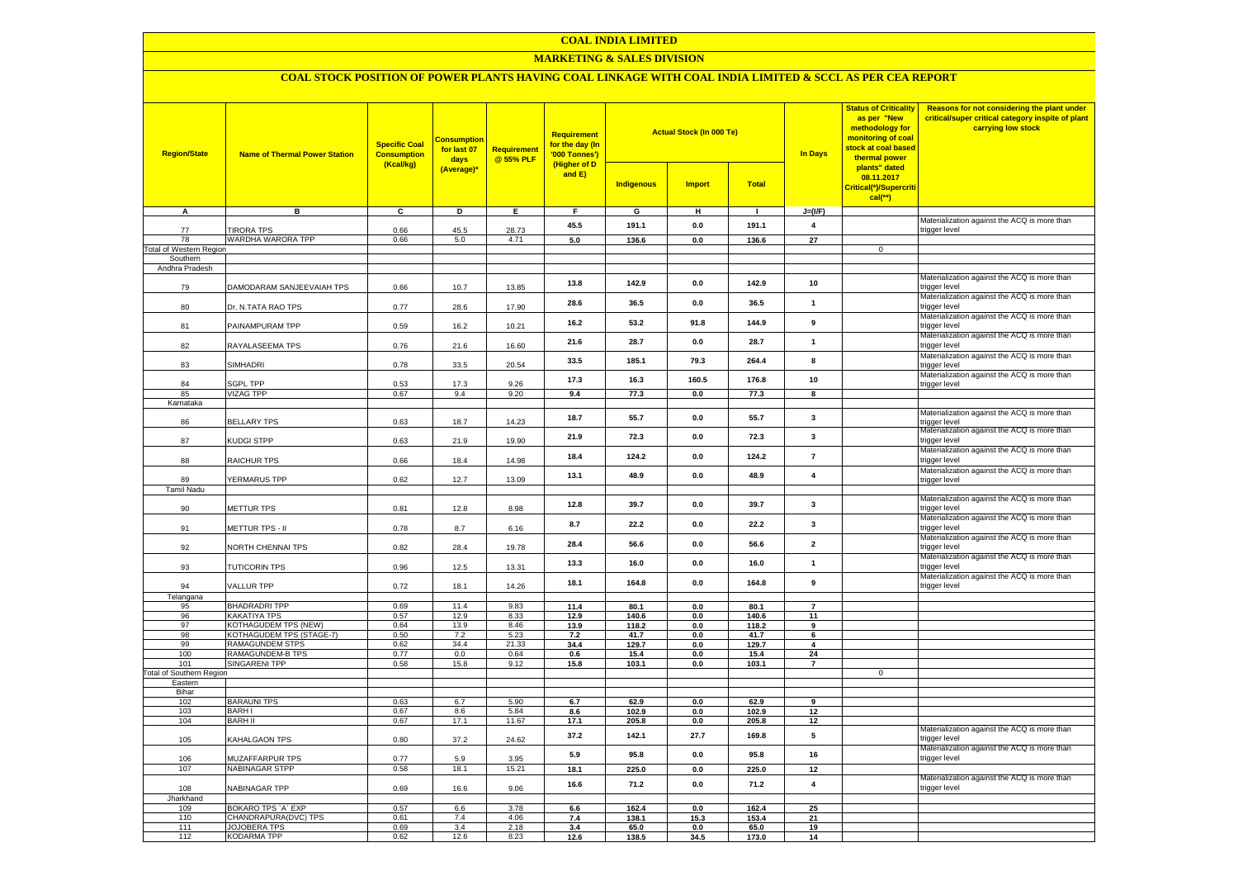#### **COAL INDIA LIMITED**

# **MARKETING & SALES DIVISION**

# **COAL STOCK POSITION OF POWER PLANTS HAVING COAL LINKAGE WITH COAL INDIA LIMITED & SCCL AS PER CEA REPORT**

| <b>Region/State</b>             | <b>Name of Thermal Power Station</b>       | <b>Specific Coal</b><br><b>Consumption</b><br>(Kcal/kg) | <b>Consumption</b><br>for last 07<br>days<br>(Average)* | <b>Requirement</b><br>@ 55% PLF | <b>Requirement</b><br>for the day (In<br>'000 Tonnes')<br>(Higher of D<br>and E) | <b>Indigenous</b> | <b>Actual Stock (In 000 Te)</b><br>Total<br><b>Import</b> |                | <b>Status of Criticality</b><br>as per "New<br>methodology for<br>monitoring of coal<br>stock at coal based<br>In Days<br>thermal power<br>plants" dated<br>08.11.2017<br>Critical(*)/Supercriti<br>$cal$ (**) |             | Reasons for not considering the plant under<br>critical/super critical category inspite of plant<br>carrying low stock |
|---------------------------------|--------------------------------------------|---------------------------------------------------------|---------------------------------------------------------|---------------------------------|----------------------------------------------------------------------------------|-------------------|-----------------------------------------------------------|----------------|----------------------------------------------------------------------------------------------------------------------------------------------------------------------------------------------------------------|-------------|------------------------------------------------------------------------------------------------------------------------|
| А                               | в                                          | $\mathbf{c}$                                            | D                                                       | Е.                              | F.                                                                               | G                 | н                                                         | $\mathbf{L}$   | $J=(I/F)$                                                                                                                                                                                                      |             |                                                                                                                        |
|                                 |                                            |                                                         |                                                         |                                 | 45.5                                                                             | 191.1             | 0.0                                                       | 191.1          | $\overline{\mathbf{4}}$                                                                                                                                                                                        |             | Materialization against the ACQ is more than                                                                           |
| 77<br>78                        | <b>TIRORA TPS</b><br>WARDHA WARORA TPP     | 0.66                                                    | 45.5<br>5.0                                             | 28.73<br>4.71                   | 5.0                                                                              |                   |                                                           |                | $\overline{27}$                                                                                                                                                                                                |             | trigger level                                                                                                          |
| <b>Total of Western Region</b>  |                                            | 0.66                                                    |                                                         |                                 |                                                                                  | 136.6             | 0.0                                                       | 136.6          |                                                                                                                                                                                                                | $\mathbf 0$ |                                                                                                                        |
| Southern                        |                                            |                                                         |                                                         |                                 |                                                                                  |                   |                                                           |                |                                                                                                                                                                                                                |             |                                                                                                                        |
| Andhra Pradesh                  |                                            |                                                         |                                                         |                                 |                                                                                  |                   |                                                           |                |                                                                                                                                                                                                                |             |                                                                                                                        |
| 79                              | DAMODARAM SANJEEVAIAH TPS                  | 0.66                                                    | 10.7                                                    | 13.85                           | 13.8                                                                             | 142.9             | 0.0                                                       | 142.9          | 10                                                                                                                                                                                                             |             | Materialization against the ACQ is more than<br>trigger level                                                          |
| 80                              | Dr. N.TATA RAO TPS                         | 0.77                                                    | 28.6                                                    | 17.90                           | 28.6                                                                             | 36.5              | 0.0                                                       | 36.5           | $\mathbf{1}$                                                                                                                                                                                                   |             | Materialization against the ACQ is more than<br>trigger level                                                          |
| 81                              | PAINAMPURAM TPP                            | 0.59                                                    | 16.2                                                    | 10.21                           | 16.2                                                                             | 53.2              | 91.8                                                      | 144.9          | 9                                                                                                                                                                                                              |             | Materialization against the ACQ is more than<br>trigger level                                                          |
| 82                              | RAYALASEEMA TPS                            | 0.76                                                    | 21.6                                                    | 16.60                           | 21.6                                                                             | 28.7              | 0.0                                                       | 28.7           | $\mathbf{1}$                                                                                                                                                                                                   |             | Materialization against the ACQ is more than<br>trigger level                                                          |
| 83                              | SIMHADRI                                   | 0.78                                                    | 33.5                                                    | 20.54                           | 33.5                                                                             | 185.1             | 79.3                                                      | 264.4          | 8                                                                                                                                                                                                              |             | Materialization against the ACQ is more than<br>trigger level<br>Materialization against the ACQ is more than          |
| 84                              | SGPL TPP                                   | 0.53                                                    | 17.3                                                    | 9.26                            | 17.3                                                                             | 16.3              | 160.5                                                     | 176.8          | 10                                                                                                                                                                                                             |             | trigger level                                                                                                          |
| 85                              | <b>VIZAG TPP</b>                           | 0.67                                                    | 9.4                                                     | 9.20                            | 9.4                                                                              | 77.3              | 0.0                                                       | 77.3           | $\overline{\mathbf{8}}$                                                                                                                                                                                        |             |                                                                                                                        |
| Karnataka                       |                                            |                                                         |                                                         |                                 |                                                                                  |                   |                                                           |                |                                                                                                                                                                                                                |             |                                                                                                                        |
| 86                              | <b>BELLARY TPS</b>                         | 0.63                                                    | 18.7                                                    | 14.23                           | 18.7                                                                             | 55.7              | 0.0                                                       | 55.7           | $\mathbf{3}$                                                                                                                                                                                                   |             | Materialization against the ACQ is more than<br>trigger level<br>Materialization against the ACQ is more than          |
| 87                              | KUDGI STPP                                 | 0.63                                                    | 21.9                                                    | 19.90                           | 21.9                                                                             | 72.3              | 0.0                                                       | 72.3           | 3                                                                                                                                                                                                              |             | trigger level<br>Materialization against the ACQ is more than                                                          |
| 88                              | RAICHUR TPS                                | 0.66                                                    | 18.4                                                    | 14.98                           | 18.4                                                                             | 124.2             | 0.0                                                       | 124.2          | $\overline{7}$                                                                                                                                                                                                 |             | trigger level<br>Materialization against the ACQ is more than                                                          |
| 89<br><b>Tamil Nadu</b>         | YERMARUS TPP                               | 0.62                                                    | 12.7                                                    | 13.09                           | 13.1                                                                             | 48.9              | 0.0                                                       | 48.9           | $\overline{\mathbf{4}}$                                                                                                                                                                                        |             | trigger level                                                                                                          |
| 90                              | METTUR TPS                                 | 0.81                                                    | 12.8                                                    | 8.98                            | 12.8                                                                             | 39.7              | 0.0                                                       | 39.7           | $\mathbf{3}$                                                                                                                                                                                                   |             | Materialization against the ACQ is more than<br>trigger level                                                          |
| 91                              | METTUR TPS - II                            | 0.78                                                    | 8.7                                                     | 6.16                            | 8.7                                                                              | 22.2              | 0.0                                                       | 22.2           | $\mathbf{3}$                                                                                                                                                                                                   |             | Materialization against the ACQ is more than<br>trigger level                                                          |
| 92                              | NORTH CHENNAI TPS                          | 0.82                                                    | 28.4                                                    | 19.78                           | 28.4                                                                             | 56.6              | 0.0                                                       | 56.6           | $\overline{\mathbf{2}}$                                                                                                                                                                                        |             | Materialization against the ACQ is more than<br>trigger level                                                          |
| 93                              | TUTICORIN TPS                              | 0.96                                                    | 12.5                                                    | 13.31                           | 13.3                                                                             | 16.0              | 0.0                                                       | 16.0           | $\mathbf{1}$                                                                                                                                                                                                   |             | Materialization against the ACQ is more than<br>trigger level                                                          |
| 94                              | <b>VALLUR TPP</b>                          | 0.72                                                    | 18.1                                                    | 14.26                           | 18.1                                                                             | 164.8             | 0.0                                                       | 164.8          | 9                                                                                                                                                                                                              |             | Materialization against the ACQ is more than<br>trigger level                                                          |
| Telangana<br>95                 | <b>BHADRADRI TPP</b>                       | 0.69                                                    | 11.4                                                    | 9.83                            | 11.4                                                                             | 80.1              | 0.0                                                       | 80.1           | $\overline{7}$                                                                                                                                                                                                 |             |                                                                                                                        |
| 96                              | KAKATIYA TPS                               | 0.57                                                    | 12.9                                                    | 8.33                            | 12.9                                                                             | 140.6             | 0.0                                                       | 140.6          | 11                                                                                                                                                                                                             |             |                                                                                                                        |
| 97                              | KOTHAGUDEM TPS (NEW)                       | 0.64                                                    | 13.9                                                    | 8.46                            | 13.9                                                                             | 118.2             | 0.0                                                       | 118.2          | 9                                                                                                                                                                                                              |             |                                                                                                                        |
| 98                              | KOTHAGUDEM TPS (STAGE-7)                   | 0.50                                                    | 7.2                                                     | 5.23                            | 7.2                                                                              | 41.7              | 0.0                                                       | 41.7           | 6                                                                                                                                                                                                              |             |                                                                                                                        |
| 99                              | RAMAGUNDEM STPS                            | 0.62                                                    | 34.4                                                    | 21.33                           | 34.4                                                                             | 129.7             | 0.0                                                       | 129.7          | $\overline{\mathbf{4}}$                                                                                                                                                                                        |             |                                                                                                                        |
| 100<br>101                      | RAMAGUNDEM-B TPS<br><b>SINGARENI TPP</b>   | 0.77<br>0.58                                            | 0.0<br>15.8                                             | 0.64<br>9.12                    | 0.6<br>15.8                                                                      | 15.4<br>103.1     | 0.0<br>0.0                                                | 15.4<br>103.1  | 24<br>$\overline{7}$                                                                                                                                                                                           |             |                                                                                                                        |
| <b>Total of Southern Region</b> |                                            |                                                         |                                                         |                                 |                                                                                  |                   |                                                           |                |                                                                                                                                                                                                                | $\mathbf 0$ |                                                                                                                        |
| Eastern                         |                                            |                                                         |                                                         |                                 |                                                                                  |                   |                                                           |                |                                                                                                                                                                                                                |             |                                                                                                                        |
| Bihar                           |                                            |                                                         |                                                         |                                 |                                                                                  |                   |                                                           |                |                                                                                                                                                                                                                |             |                                                                                                                        |
| 102                             | <b>BARAUNI TPS</b><br><b>BARHI</b>         | 0.63                                                    | 6.7                                                     | 5.90<br>5.84                    | 6.7                                                                              | 62.9              | 0.0                                                       | 62.9<br>102.9  | 9                                                                                                                                                                                                              |             |                                                                                                                        |
| 103<br>104                      | <b>BARH II</b>                             | 0.67<br>0.67                                            | 8.6<br>17.1                                             | 11.67                           | 8.6<br>17.1                                                                      | 102.9<br>205.8    | 0.0<br>0.0                                                | 205.8          | 12<br>12                                                                                                                                                                                                       |             |                                                                                                                        |
| 105                             | KAHALGAON TPS                              | 0.80                                                    | 37.2                                                    | 24.62                           | 37.2                                                                             | 142.1             | 27.7                                                      | 169.8          | 5                                                                                                                                                                                                              |             | Materialization against the ACQ is more than<br>trigger level                                                          |
| 106                             | MUZAFFARPUR TPS                            | 0.77                                                    | 5.9                                                     | 3.95                            | 5.9                                                                              | 95.8              | 0.0                                                       | 95.8           | 16                                                                                                                                                                                                             |             | Materialization against the ACQ is more than<br>trigger level                                                          |
| 107                             | NABINAGAR STPP                             | 0.58                                                    | 18.1                                                    | 15.21                           | 18.1                                                                             | 225.0             | $0.0\,$                                                   | 225.0          | 12                                                                                                                                                                                                             |             |                                                                                                                        |
| 108                             | NABINAGAR TPP                              | 0.69                                                    | 16.6                                                    | 9.06                            | 16.6                                                                             | 71.2              | 0.0                                                       | 71.2           | $\overline{\mathbf{4}}$                                                                                                                                                                                        |             | Materialization against the ACQ is more than<br>trigger level                                                          |
| Jharkhand                       |                                            |                                                         |                                                         |                                 |                                                                                  |                   |                                                           |                |                                                                                                                                                                                                                |             |                                                                                                                        |
| 109<br>110                      | BOKARO TPS `A` EXP<br>CHANDRAPURA(DVC) TPS | 0.57<br>0.61                                            | 6.6<br>7.4                                              | 3.78<br>4.06                    | 6.6<br>7.4                                                                       | 162.4<br>138.1    | 0.0<br>15.3                                               | 162.4<br>153.4 | 25<br>21                                                                                                                                                                                                       |             |                                                                                                                        |
| 111                             | <b>JOJOBERA TPS</b>                        | 0.69                                                    | 3.4                                                     | 2.18                            | 3.4                                                                              | 65.0              | $\mathbf{0.0}$                                            | 65.0           | 19                                                                                                                                                                                                             |             |                                                                                                                        |
| 112                             | <b>KODARMA TPP</b>                         | 0.62                                                    | 12.6                                                    | 8.23                            | 12.6                                                                             | 138.5             | 34.5                                                      | 173.0          | 14                                                                                                                                                                                                             |             |                                                                                                                        |